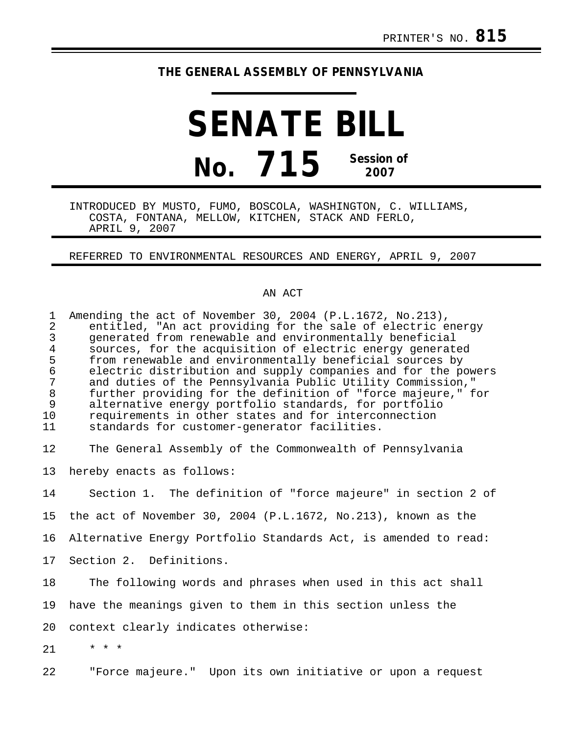## **THE GENERAL ASSEMBLY OF PENNSYLVANIA**

## **SENATE BILL No. 715 Session of 2007**

INTRODUCED BY MUSTO, FUMO, BOSCOLA, WASHINGTON, C. WILLIAMS, COSTA, FONTANA, MELLOW, KITCHEN, STACK AND FERLO, APRIL 9, 2007

REFERRED TO ENVIRONMENTAL RESOURCES AND ENERGY, APRIL 9, 2007

## AN ACT

| $\mathbf 1$<br>$\overline{a}$<br>3<br>$\overline{4}$<br>5<br>$\epsilon$<br>$\sqrt{ }$<br>$\,8\,$<br>9<br>10<br>11 | Amending the act of November 30, 2004 (P.L.1672, No.213),<br>entitled, "An act providing for the sale of electric energy<br>generated from renewable and environmentally beneficial<br>sources, for the acquisition of electric energy generated<br>from renewable and environmentally beneficial sources by<br>electric distribution and supply companies and for the powers<br>and duties of the Pennsylvania Public Utility Commission,"<br>further providing for the definition of "force majeure," for<br>alternative energy portfolio standards, for portfolio<br>requirements in other states and for interconnection<br>standards for customer-generator facilities. |
|-------------------------------------------------------------------------------------------------------------------|------------------------------------------------------------------------------------------------------------------------------------------------------------------------------------------------------------------------------------------------------------------------------------------------------------------------------------------------------------------------------------------------------------------------------------------------------------------------------------------------------------------------------------------------------------------------------------------------------------------------------------------------------------------------------|
| 12                                                                                                                | The General Assembly of the Commonwealth of Pennsylvania                                                                                                                                                                                                                                                                                                                                                                                                                                                                                                                                                                                                                     |
| 13                                                                                                                | hereby enacts as follows:                                                                                                                                                                                                                                                                                                                                                                                                                                                                                                                                                                                                                                                    |
| 14                                                                                                                | Section 1. The definition of "force majeure" in section 2 of                                                                                                                                                                                                                                                                                                                                                                                                                                                                                                                                                                                                                 |
| 15                                                                                                                | the act of November 30, 2004 (P.L.1672, No.213), known as the                                                                                                                                                                                                                                                                                                                                                                                                                                                                                                                                                                                                                |
| 16                                                                                                                | Alternative Energy Portfolio Standards Act, is amended to read:                                                                                                                                                                                                                                                                                                                                                                                                                                                                                                                                                                                                              |
| 17                                                                                                                | Section 2. Definitions.                                                                                                                                                                                                                                                                                                                                                                                                                                                                                                                                                                                                                                                      |
| 18                                                                                                                | The following words and phrases when used in this act shall                                                                                                                                                                                                                                                                                                                                                                                                                                                                                                                                                                                                                  |
| 19                                                                                                                | have the meanings given to them in this section unless the                                                                                                                                                                                                                                                                                                                                                                                                                                                                                                                                                                                                                   |
| 20                                                                                                                | context clearly indicates otherwise:                                                                                                                                                                                                                                                                                                                                                                                                                                                                                                                                                                                                                                         |
| 21                                                                                                                | $\star$ $\star$ $\star$                                                                                                                                                                                                                                                                                                                                                                                                                                                                                                                                                                                                                                                      |
| 22                                                                                                                | "Force majeure." Upon its own initiative or upon a request                                                                                                                                                                                                                                                                                                                                                                                                                                                                                                                                                                                                                   |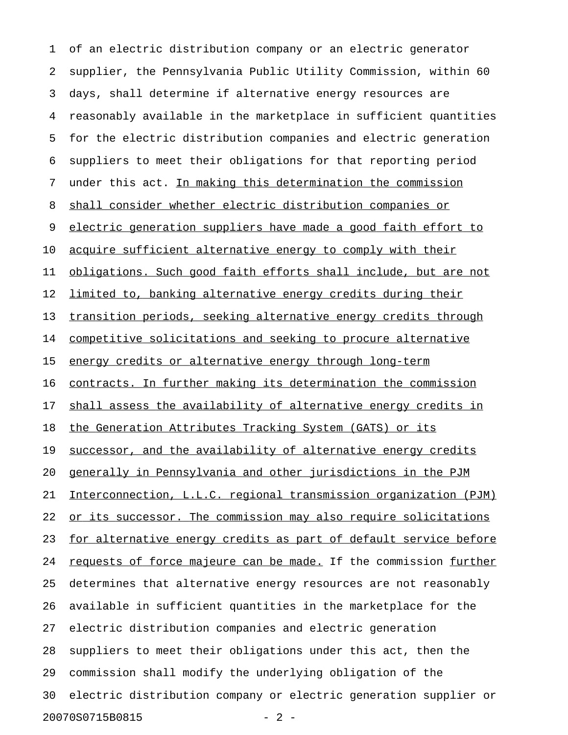1 of an electric distribution company or an electric generator 2 supplier, the Pennsylvania Public Utility Commission, within 60 3 days, shall determine if alternative energy resources are 4 reasonably available in the marketplace in sufficient quantities 5 for the electric distribution companies and electric generation 6 suppliers to meet their obligations for that reporting period 7 under this act. In making this determination the commission 8 shall consider whether electric distribution companies or 9 electric generation suppliers have made a good faith effort to 10 acquire sufficient alternative energy to comply with their 11 obligations. Such good faith efforts shall include, but are not 12 limited to, banking alternative energy credits during their 13 transition periods, seeking alternative energy credits through 14 competitive solicitations and seeking to procure alternative 15 energy credits or alternative energy through long-term 16 contracts. In further making its determination the commission 17 shall assess the availability of alternative energy credits in 18 the Generation Attributes Tracking System (GATS) or its 19 successor, and the availability of alternative energy credits 20 generally in Pennsylvania and other jurisdictions in the PJM 21 Interconnection, L.L.C. regional transmission organization (PJM) 22 or its successor. The commission may also require solicitations 23 for alternative energy credits as part of default service before 24 requests of force majeure can be made. If the commission further 25 determines that alternative energy resources are not reasonably 26 available in sufficient quantities in the marketplace for the 27 electric distribution companies and electric generation 28 suppliers to meet their obligations under this act, then the 29 commission shall modify the underlying obligation of the 30 electric distribution company or electric generation supplier or 20070S0715B0815 - 2 -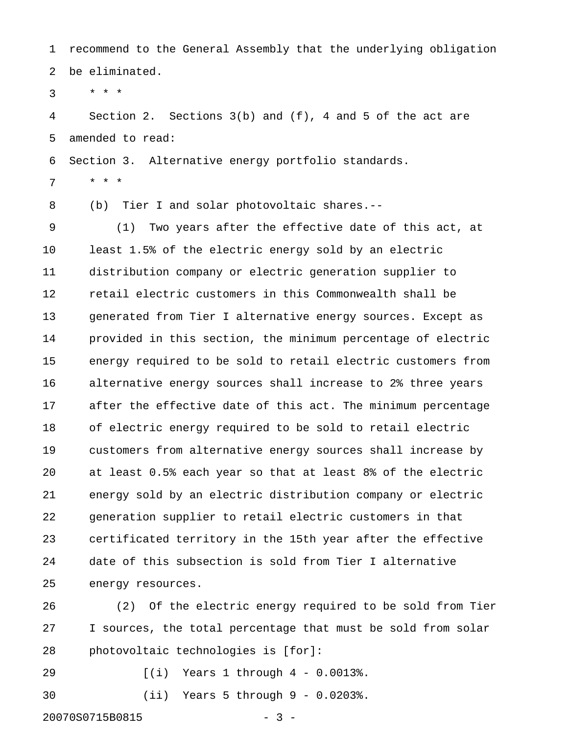1 recommend to the General Assembly that the underlying obligation 2 be eliminated.

 $3 * * * *$ 

4 Section 2. Sections 3(b) and (f), 4 and 5 of the act are 5 amended to read:

6 Section 3. Alternative energy portfolio standards.

7 \* \* \*

8 (b) Tier I and solar photovoltaic shares.--

9 (1) Two years after the effective date of this act, at 10 least 1.5% of the electric energy sold by an electric 11 distribution company or electric generation supplier to 12 retail electric customers in this Commonwealth shall be 13 generated from Tier I alternative energy sources. Except as 14 provided in this section, the minimum percentage of electric 15 energy required to be sold to retail electric customers from 16 alternative energy sources shall increase to 2% three years 17 after the effective date of this act. The minimum percentage 18 of electric energy required to be sold to retail electric 19 customers from alternative energy sources shall increase by 20 at least 0.5% each year so that at least 8% of the electric 21 energy sold by an electric distribution company or electric 22 generation supplier to retail electric customers in that 23 certificated territory in the 15th year after the effective 24 date of this subsection is sold from Tier I alternative 25 energy resources.

26 (2) Of the electric energy required to be sold from Tier 27 I sources, the total percentage that must be sold from solar 28 photovoltaic technologies is [for]:

29 [(i) Years 1 through 4 - 0.0013%.

30 (ii) Years 5 through 9 - 0.0203%.

20070S0715B0815 - 3 -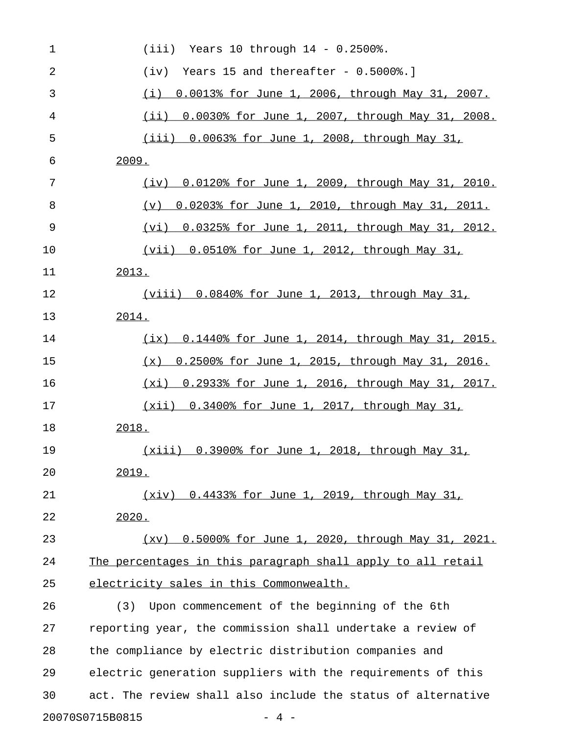| $\mathbf 1$ | $(iii)$ Years 10 through $14 - 0.2500$ .                      |
|-------------|---------------------------------------------------------------|
| 2           | Years 15 and thereafter - $0.5000$ .]<br>(iv)                 |
| 3           | 0.0013% for June 1, 2006, through May 31, 2007.<br>(i)        |
| 4           | $(ii)$ 0.0030% for June 1, 2007, through May 31, 2008.        |
| 5           | (iii) 0.0063% for June 1, 2008, through May 31,               |
| 6           | 2009.                                                         |
| 7           | (iv) 0.0120% for June 1, 2009, through May 31, 2010.          |
| 8           | 0.0203% for June 1, 2010, through May 31, 2011.<br>$(\nabla)$ |
| 9           | (vi) 0.0325% for June 1, 2011, through May 31, 2012.          |
| 10          | <u>(vii) 0.0510% for June 1, 2012, through May 31,</u>        |
| 11          | 2013.                                                         |
| 12          | (viii) 0.0840% for June 1, 2013, through May 31,              |
| 13          | 2014.                                                         |
| 14          | $(ix)$ 0.1440% for June 1, 2014, through May 31, 2015.        |
| 15          | 0.2500% for June 1, 2015, through May 31, 2016.<br>(x)        |
| 16          | (xi) 0.2933% for June 1, 2016, through May 31, 2017.          |
| 17          | (xii) 0.3400% for June 1, 2017, through May 31,               |
| 18          | 2018.                                                         |
| 19          | (xiii) 0.3900% for June 1, 2018, through May 31,              |
| 20          | 2019.                                                         |
| 21          | (xiv) 0.4433% for June 1, 2019, through May 31,               |
| 22          | 2020.                                                         |
| 23          | (xv) 0.5000% for June 1, 2020, through May 31, 2021.          |
| 24          | The percentages in this paragraph shall apply to all retail   |
| 25          | electricity sales in this Commonwealth.                       |
| 26          | Upon commencement of the beginning of the 6th<br>(3)          |
| 27          | reporting year, the commission shall undertake a review of    |
| 28          | the compliance by electric distribution companies and         |
| 29          | electric generation suppliers with the requirements of this   |
| 30          | act. The review shall also include the status of alternative  |
|             | 20070S0715B0815<br>$-4-$                                      |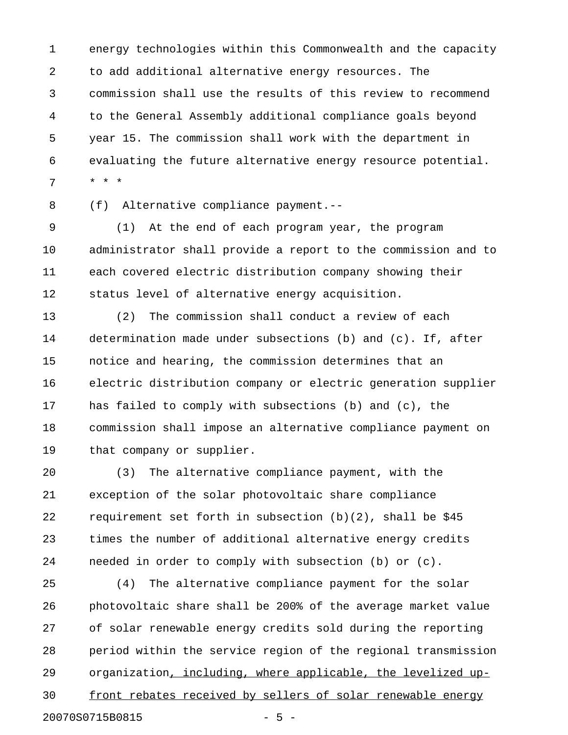1 energy technologies within this Commonwealth and the capacity 2 to add additional alternative energy resources. The 3 commission shall use the results of this review to recommend 4 to the General Assembly additional compliance goals beyond 5 year 15. The commission shall work with the department in 6 evaluating the future alternative energy resource potential. 7 \* \* \*

8 (f) Alternative compliance payment.--

9 (1) At the end of each program year, the program 10 administrator shall provide a report to the commission and to 11 each covered electric distribution company showing their 12 status level of alternative energy acquisition.

13 (2) The commission shall conduct a review of each 14 determination made under subsections (b) and (c). If, after 15 notice and hearing, the commission determines that an 16 electric distribution company or electric generation supplier 17 has failed to comply with subsections (b) and (c), the 18 commission shall impose an alternative compliance payment on 19 that company or supplier.

20 (3) The alternative compliance payment, with the 21 exception of the solar photovoltaic share compliance 22 requirement set forth in subsection (b)(2), shall be \$45 23 times the number of additional alternative energy credits 24 needed in order to comply with subsection (b) or (c).

25 (4) The alternative compliance payment for the solar 26 photovoltaic share shall be 200% of the average market value 27 of solar renewable energy credits sold during the reporting 28 period within the service region of the regional transmission 29 organization, including, where applicable, the levelized up- \_\_\_\_\_\_\_\_\_\_\_\_\_\_\_\_\_\_\_\_\_\_\_\_\_\_\_\_\_\_\_\_\_\_\_\_\_\_\_\_\_\_\_\_\_\_\_\_ 30 front rebates received by sellers of solar renewable energy 20070S0715B0815 - 5 -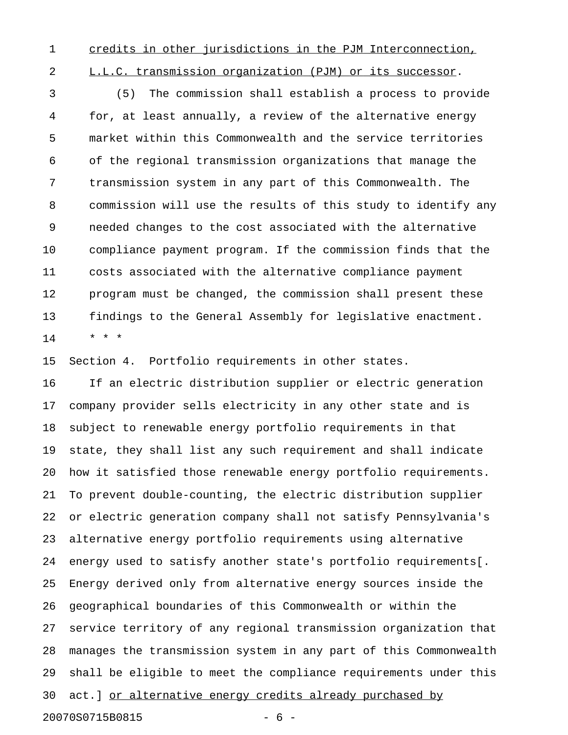1 credits in other jurisdictions in the PJM Interconnection,

2 L.L.C. transmission organization (PJM) or its successor.

3 (5) The commission shall establish a process to provide 4 for, at least annually, a review of the alternative energy 5 market within this Commonwealth and the service territories 6 of the regional transmission organizations that manage the 7 transmission system in any part of this Commonwealth. The 8 commission will use the results of this study to identify any 9 needed changes to the cost associated with the alternative 10 compliance payment program. If the commission finds that the 11 costs associated with the alternative compliance payment 12 program must be changed, the commission shall present these 13 findings to the General Assembly for legislative enactment. 14 \* \* \*

15 Section 4. Portfolio requirements in other states.

16 If an electric distribution supplier or electric generation 17 company provider sells electricity in any other state and is 18 subject to renewable energy portfolio requirements in that 19 state, they shall list any such requirement and shall indicate 20 how it satisfied those renewable energy portfolio requirements. 21 To prevent double-counting, the electric distribution supplier 22 or electric generation company shall not satisfy Pennsylvania's 23 alternative energy portfolio requirements using alternative 24 energy used to satisfy another state's portfolio requirements[. 25 Energy derived only from alternative energy sources inside the 26 geographical boundaries of this Commonwealth or within the 27 service territory of any regional transmission organization that 28 manages the transmission system in any part of this Commonwealth 29 shall be eligible to meet the compliance requirements under this 30 act.] or alternative energy credits already purchased by 20070S0715B0815 - 6 -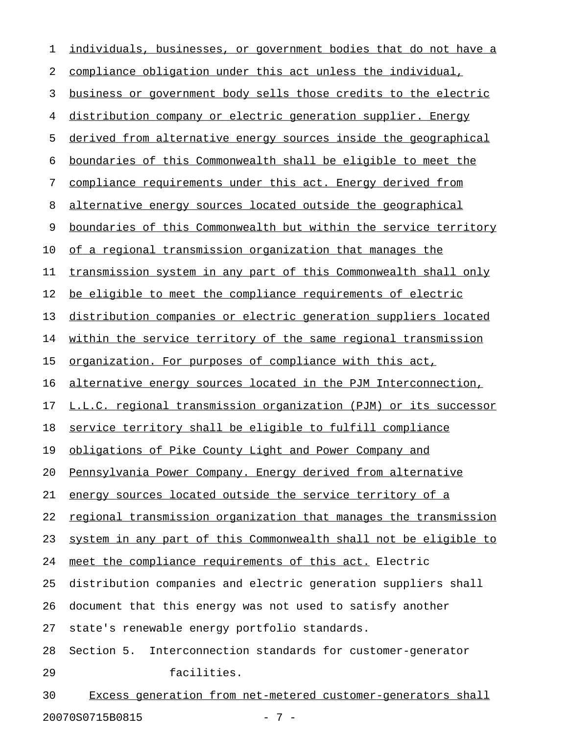| 1  | individuals, businesses, or government bodies that do not have a |
|----|------------------------------------------------------------------|
| 2  | compliance obligation under this act unless the individual,      |
| 3  | business or government body sells those credits to the electric  |
| 4  | distribution company or electric generation supplier. Energy     |
| 5  | derived from alternative energy sources inside the geographical  |
| 6  | boundaries of this Commonwealth shall be eligible to meet the    |
| 7  | compliance requirements under this act. Energy derived from      |
| 8  | alternative energy sources located outside the geographical      |
| 9  | boundaries of this Commonwealth but within the service territory |
| 10 | of a regional transmission organization that manages the         |
| 11 | transmission system in any part of this Commonwealth shall only  |
| 12 | be eligible to meet the compliance requirements of electric      |
| 13 | distribution companies or electric generation suppliers located  |
| 14 | within the service territory of the same regional transmission   |
| 15 | organization. For purposes of compliance with this act,          |
| 16 | alternative energy sources located in the PJM Interconnection,   |
| 17 | L.L.C. regional transmission organization (PJM) or its successor |
| 18 | service territory shall be eligible to fulfill compliance        |
| 19 | obligations of Pike County Light and Power Company and           |
| 20 | Pennsylvania Power Company. Energy derived from alternative      |
| 21 | energy sources located outside the service territory of a        |
| 22 | regional transmission organization that manages the transmission |
| 23 | system in any part of this Commonwealth shall not be eligible to |
| 24 | meet the compliance requirements of this act. Electric           |
| 25 | distribution companies and electric generation suppliers shall   |
| 26 | document that this energy was not used to satisfy another        |
| 27 | state's renewable energy portfolio standards.                    |
| 28 | Interconnection standards for customer-generator<br>Section 5.   |
| 29 | facilities.                                                      |
| 30 | Excess generation from net-metered customer-generators shall     |

20070S0715B0815 - 7 -